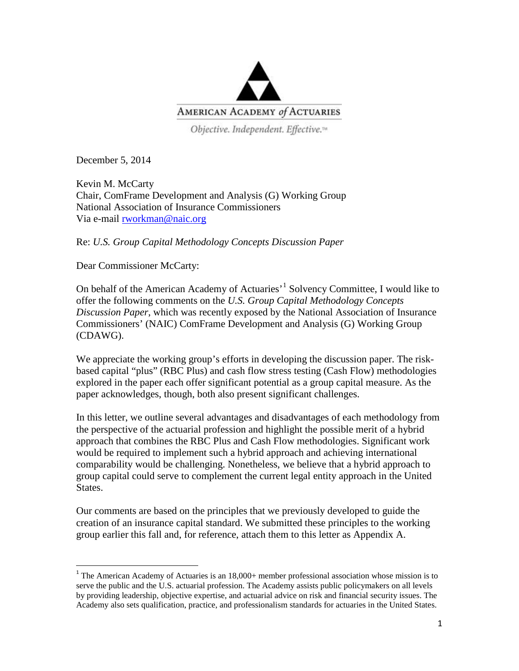

Objective. Independent. Effective.<sup>14</sup>

December 5, 2014

Kevin M. McCarty Chair, ComFrame Development and Analysis (G) Working Group National Association of Insurance Commissioners Via e-mail [rworkman@naic.org](mailto:rworkman@naic.org)

Re: *U.S. Group Capital Methodology Concepts Discussion Paper*

Dear Commissioner McCarty:

On behalf of the American Academy of Actuaries'[1](#page-0-0) Solvency Committee, I would like to offer the following comments on the *U.S. Group Capital Methodology Concepts Discussion Paper*, which was recently exposed by the National Association of Insurance Commissioners' (NAIC) ComFrame Development and Analysis (G) Working Group (CDAWG).

We appreciate the working group's efforts in developing the discussion paper. The riskbased capital "plus" (RBC Plus) and cash flow stress testing (Cash Flow) methodologies explored in the paper each offer significant potential as a group capital measure. As the paper acknowledges, though, both also present significant challenges.

In this letter, we outline several advantages and disadvantages of each methodology from the perspective of the actuarial profession and highlight the possible merit of a hybrid approach that combines the RBC Plus and Cash Flow methodologies. Significant work would be required to implement such a hybrid approach and achieving international comparability would be challenging. Nonetheless, we believe that a hybrid approach to group capital could serve to complement the current legal entity approach in the United States.

Our comments are based on the principles that we previously developed to guide the creation of an insurance capital standard. We submitted these principles to the working group earlier this fall and, for reference, attach them to this letter as Appendix A.

<span id="page-0-0"></span> $1$ <sup>1</sup> The American Academy of Actuaries is an 18,000+ member professional association whose mission is to serve the public and the U.S. actuarial profession. The Academy assists public policymakers on all levels by providing leadership, objective expertise, and actuarial advice on risk and financial security issues. The Academy also sets qualification, practice, and professionalism standards for actuaries in the United States.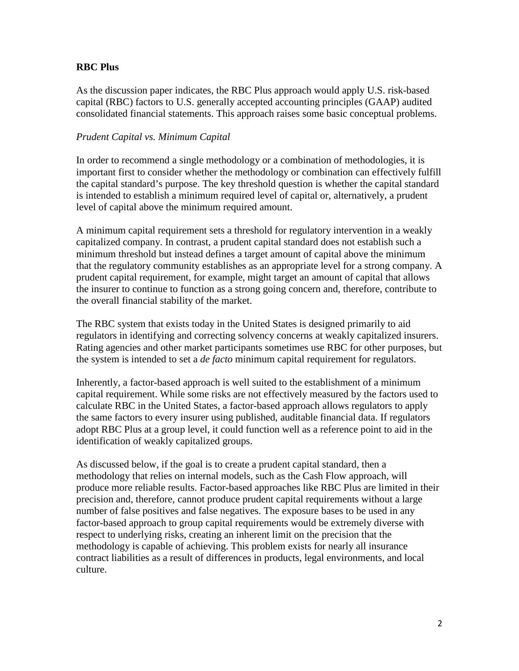#### **RBC Plus**

As the discussion paper indicates, the RBC Plus approach would apply U.S. risk-based capital (RBC) factors to U.S. generally accepted accounting principles (GAAP) audited consolidated financial statements. This approach raises some basic conceptual problems.

#### *Prudent Capital vs. Minimum Capital*

In order to recommend a single methodology or a combination of methodologies, it is important first to consider whether the methodology or combination can effectively fulfill the capital standard's purpose. The key threshold question is whether the capital standard is intended to establish a minimum required level of capital or, alternatively, a prudent level of capital above the minimum required amount.

A minimum capital requirement sets a threshold for regulatory intervention in a weakly capitalized company. In contrast, a prudent capital standard does not establish such a minimum threshold but instead defines a target amount of capital above the minimum that the regulatory community establishes as an appropriate level for a strong company. A prudent capital requirement, for example, might target an amount of capital that allows the insurer to continue to function as a strong going concern and, therefore, contribute to the overall financial stability of the market.

The RBC system that exists today in the United States is designed primarily to aid regulators in identifying and correcting solvency concerns at weakly capitalized insurers. Rating agencies and other market participants sometimes use RBC for other purposes, but the system is intended to set a *de facto* minimum capital requirement for regulators.

Inherently, a factor-based approach is well suited to the establishment of a minimum capital requirement. While some risks are not effectively measured by the factors used to calculate RBC in the United States, a factor-based approach allows regulators to apply the same factors to every insurer using published, auditable financial data. If regulators adopt RBC Plus at a group level, it could function well as a reference point to aid in the identification of weakly capitalized groups.

As discussed below, if the goal is to create a prudent capital standard, then a methodology that relies on internal models, such as the Cash Flow approach, will produce more reliable results. Factor-based approaches like RBC Plus are limited in their precision and, therefore, cannot produce prudent capital requirements without a large number of false positives and false negatives. The exposure bases to be used in any factor-based approach to group capital requirements would be extremely diverse with respect to underlying risks, creating an inherent limit on the precision that the methodology is capable of achieving. This problem exists for nearly all insurance contract liabilities as a result of differences in products, legal environments, and local culture.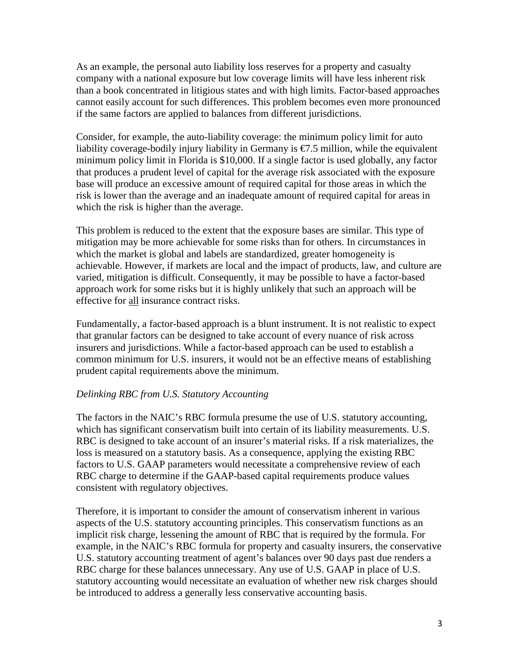As an example, the personal auto liability loss reserves for a property and casualty company with a national exposure but low coverage limits will have less inherent risk than a book concentrated in litigious states and with high limits. Factor-based approaches cannot easily account for such differences. This problem becomes even more pronounced if the same factors are applied to balances from different jurisdictions.

Consider, for example, the auto-liability coverage: the minimum policy limit for auto liability coverage-bodily injury liability in Germany is  $\epsilon$ 7.5 million, while the equivalent minimum policy limit in Florida is \$10,000. If a single factor is used globally, any factor that produces a prudent level of capital for the average risk associated with the exposure base will produce an excessive amount of required capital for those areas in which the risk is lower than the average and an inadequate amount of required capital for areas in which the risk is higher than the average.

This problem is reduced to the extent that the exposure bases are similar. This type of mitigation may be more achievable for some risks than for others. In circumstances in which the market is global and labels are standardized, greater homogeneity is achievable. However, if markets are local and the impact of products, law, and culture are varied, mitigation is difficult. Consequently, it may be possible to have a factor-based approach work for some risks but it is highly unlikely that such an approach will be effective for all insurance contract risks.

Fundamentally, a factor-based approach is a blunt instrument. It is not realistic to expect that granular factors can be designed to take account of every nuance of risk across insurers and jurisdictions. While a factor-based approach can be used to establish a common minimum for U.S. insurers, it would not be an effective means of establishing prudent capital requirements above the minimum.

#### *Delinking RBC from U.S. Statutory Accounting*

The factors in the NAIC's RBC formula presume the use of U.S. statutory accounting, which has significant conservatism built into certain of its liability measurements. U.S. RBC is designed to take account of an insurer's material risks. If a risk materializes, the loss is measured on a statutory basis. As a consequence, applying the existing RBC factors to U.S. GAAP parameters would necessitate a comprehensive review of each RBC charge to determine if the GAAP-based capital requirements produce values consistent with regulatory objectives.

Therefore, it is important to consider the amount of conservatism inherent in various aspects of the U.S. statutory accounting principles. This conservatism functions as an implicit risk charge, lessening the amount of RBC that is required by the formula. For example, in the NAIC's RBC formula for property and casualty insurers, the conservative U.S. statutory accounting treatment of agent's balances over 90 days past due renders a RBC charge for these balances unnecessary. Any use of U.S. GAAP in place of U.S. statutory accounting would necessitate an evaluation of whether new risk charges should be introduced to address a generally less conservative accounting basis.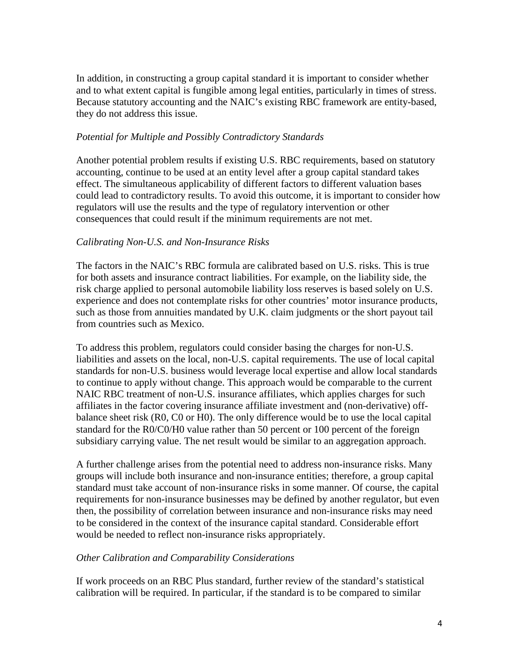In addition, in constructing a group capital standard it is important to consider whether and to what extent capital is fungible among legal entities, particularly in times of stress. Because statutory accounting and the NAIC's existing RBC framework are entity-based, they do not address this issue.

#### *Potential for Multiple and Possibly Contradictory Standards*

Another potential problem results if existing U.S. RBC requirements, based on statutory accounting, continue to be used at an entity level after a group capital standard takes effect. The simultaneous applicability of different factors to different valuation bases could lead to contradictory results. To avoid this outcome, it is important to consider how regulators will use the results and the type of regulatory intervention or other consequences that could result if the minimum requirements are not met.

#### *Calibrating Non-U.S. and Non-Insurance Risks*

The factors in the NAIC's RBC formula are calibrated based on U.S. risks. This is true for both assets and insurance contract liabilities. For example, on the liability side, the risk charge applied to personal automobile liability loss reserves is based solely on U.S. experience and does not contemplate risks for other countries' motor insurance products, such as those from annuities mandated by U.K. claim judgments or the short payout tail from countries such as Mexico.

To address this problem, regulators could consider basing the charges for non-U.S. liabilities and assets on the local, non-U.S. capital requirements. The use of local capital standards for non-U.S. business would leverage local expertise and allow local standards to continue to apply without change. This approach would be comparable to the current NAIC RBC treatment of non-U.S. insurance affiliates, which applies charges for such affiliates in the factor covering insurance affiliate investment and (non-derivative) offbalance sheet risk (R0, C0 or H0). The only difference would be to use the local capital standard for the R0/C0/H0 value rather than 50 percent or 100 percent of the foreign subsidiary carrying value. The net result would be similar to an aggregation approach.

A further challenge arises from the potential need to address non-insurance risks. Many groups will include both insurance and non-insurance entities; therefore, a group capital standard must take account of non-insurance risks in some manner. Of course, the capital requirements for non-insurance businesses may be defined by another regulator, but even then, the possibility of correlation between insurance and non-insurance risks may need to be considered in the context of the insurance capital standard. Considerable effort would be needed to reflect non-insurance risks appropriately.

#### *Other Calibration and Comparability Considerations*

If work proceeds on an RBC Plus standard, further review of the standard's statistical calibration will be required. In particular, if the standard is to be compared to similar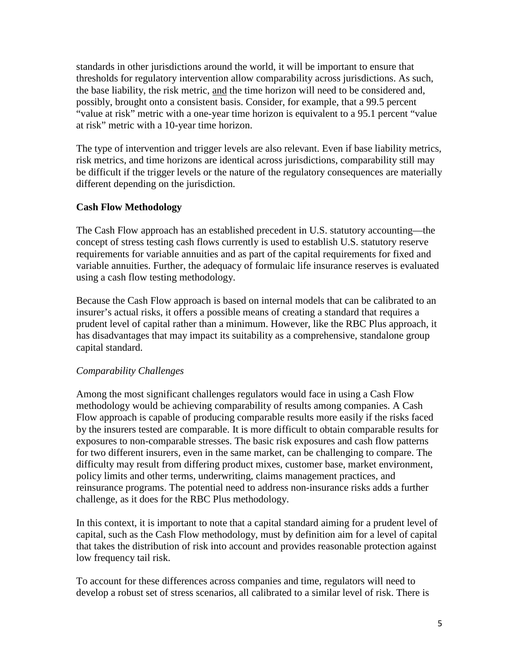standards in other jurisdictions around the world, it will be important to ensure that thresholds for regulatory intervention allow comparability across jurisdictions. As such, the base liability, the risk metric, and the time horizon will need to be considered and, possibly, brought onto a consistent basis. Consider, for example, that a 99.5 percent "value at risk" metric with a one-year time horizon is equivalent to a 95.1 percent "value at risk" metric with a 10-year time horizon.

The type of intervention and trigger levels are also relevant. Even if base liability metrics, risk metrics, and time horizons are identical across jurisdictions, comparability still may be difficult if the trigger levels or the nature of the regulatory consequences are materially different depending on the jurisdiction.

## **Cash Flow Methodology**

The Cash Flow approach has an established precedent in U.S. statutory accounting—the concept of stress testing cash flows currently is used to establish U.S. statutory reserve requirements for variable annuities and as part of the capital requirements for fixed and variable annuities. Further, the adequacy of formulaic life insurance reserves is evaluated using a cash flow testing methodology.

Because the Cash Flow approach is based on internal models that can be calibrated to an insurer's actual risks, it offers a possible means of creating a standard that requires a prudent level of capital rather than a minimum. However, like the RBC Plus approach, it has disadvantages that may impact its suitability as a comprehensive, standalone group capital standard.

## *Comparability Challenges*

Among the most significant challenges regulators would face in using a Cash Flow methodology would be achieving comparability of results among companies. A Cash Flow approach is capable of producing comparable results more easily if the risks faced by the insurers tested are comparable. It is more difficult to obtain comparable results for exposures to non-comparable stresses. The basic risk exposures and cash flow patterns for two different insurers, even in the same market, can be challenging to compare. The difficulty may result from differing product mixes, customer base, market environment, policy limits and other terms, underwriting, claims management practices, and reinsurance programs. The potential need to address non-insurance risks adds a further challenge, as it does for the RBC Plus methodology.

In this context, it is important to note that a capital standard aiming for a prudent level of capital, such as the Cash Flow methodology, must by definition aim for a level of capital that takes the distribution of risk into account and provides reasonable protection against low frequency tail risk.

To account for these differences across companies and time, regulators will need to develop a robust set of stress scenarios, all calibrated to a similar level of risk. There is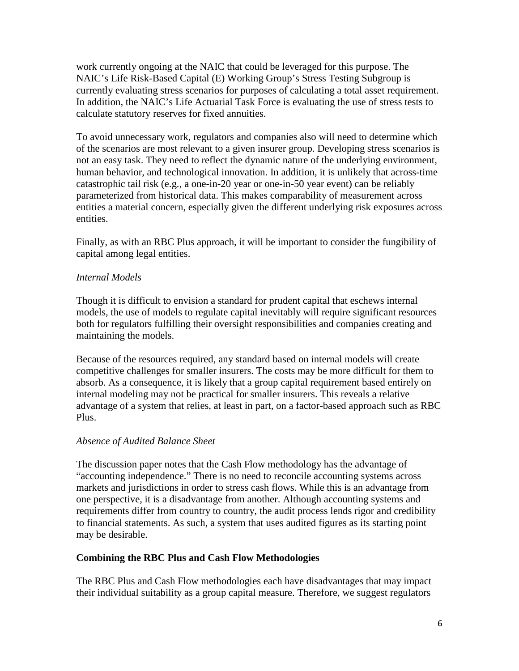work currently ongoing at the NAIC that could be leveraged for this purpose. The NAIC's Life Risk-Based Capital (E) Working Group's Stress Testing Subgroup is currently evaluating stress scenarios for purposes of calculating a total asset requirement. In addition, the NAIC's Life Actuarial Task Force is evaluating the use of stress tests to calculate statutory reserves for fixed annuities.

To avoid unnecessary work, regulators and companies also will need to determine which of the scenarios are most relevant to a given insurer group. Developing stress scenarios is not an easy task. They need to reflect the dynamic nature of the underlying environment, human behavior, and technological innovation. In addition, it is unlikely that across-time catastrophic tail risk (e.g., a one-in-20 year or one-in-50 year event) can be reliably parameterized from historical data. This makes comparability of measurement across entities a material concern, especially given the different underlying risk exposures across entities.

Finally, as with an RBC Plus approach, it will be important to consider the fungibility of capital among legal entities.

# *Internal Models*

Though it is difficult to envision a standard for prudent capital that eschews internal models, the use of models to regulate capital inevitably will require significant resources both for regulators fulfilling their oversight responsibilities and companies creating and maintaining the models.

Because of the resources required, any standard based on internal models will create competitive challenges for smaller insurers. The costs may be more difficult for them to absorb. As a consequence, it is likely that a group capital requirement based entirely on internal modeling may not be practical for smaller insurers. This reveals a relative advantage of a system that relies, at least in part, on a factor-based approach such as RBC Plus.

## *Absence of Audited Balance Sheet*

The discussion paper notes that the Cash Flow methodology has the advantage of "accounting independence." There is no need to reconcile accounting systems across markets and jurisdictions in order to stress cash flows. While this is an advantage from one perspective, it is a disadvantage from another. Although accounting systems and requirements differ from country to country, the audit process lends rigor and credibility to financial statements. As such, a system that uses audited figures as its starting point may be desirable.

## **Combining the RBC Plus and Cash Flow Methodologies**

The RBC Plus and Cash Flow methodologies each have disadvantages that may impact their individual suitability as a group capital measure. Therefore, we suggest regulators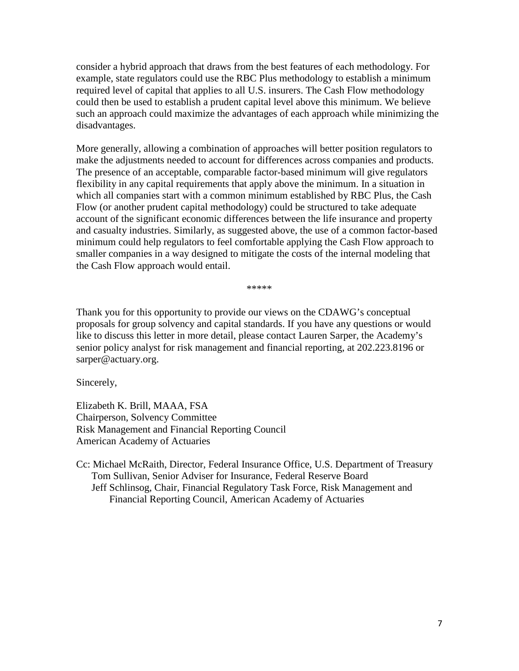consider a hybrid approach that draws from the best features of each methodology. For example, state regulators could use the RBC Plus methodology to establish a minimum required level of capital that applies to all U.S. insurers. The Cash Flow methodology could then be used to establish a prudent capital level above this minimum. We believe such an approach could maximize the advantages of each approach while minimizing the disadvantages.

More generally, allowing a combination of approaches will better position regulators to make the adjustments needed to account for differences across companies and products. The presence of an acceptable, comparable factor-based minimum will give regulators flexibility in any capital requirements that apply above the minimum. In a situation in which all companies start with a common minimum established by RBC Plus, the Cash Flow (or another prudent capital methodology) could be structured to take adequate account of the significant economic differences between the life insurance and property and casualty industries. Similarly, as suggested above, the use of a common factor-based minimum could help regulators to feel comfortable applying the Cash Flow approach to smaller companies in a way designed to mitigate the costs of the internal modeling that the Cash Flow approach would entail.

\*\*\*\*\*

Thank you for this opportunity to provide our views on the CDAWG's conceptual proposals for group solvency and capital standards. If you have any questions or would like to discuss this letter in more detail, please contact Lauren Sarper, the Academy's senior policy analyst for risk management and financial reporting, at 202.223.8196 or sarper@actuary.org.

Sincerely,

Elizabeth K. Brill, MAAA, FSA Chairperson, Solvency Committee Risk Management and Financial Reporting Council American Academy of Actuaries

Cc: Michael McRaith, Director, Federal Insurance Office, U.S. Department of Treasury Tom Sullivan, Senior Adviser for Insurance, Federal Reserve Board Jeff Schlinsog, Chair, Financial Regulatory Task Force, Risk Management and Financial Reporting Council, American Academy of Actuaries